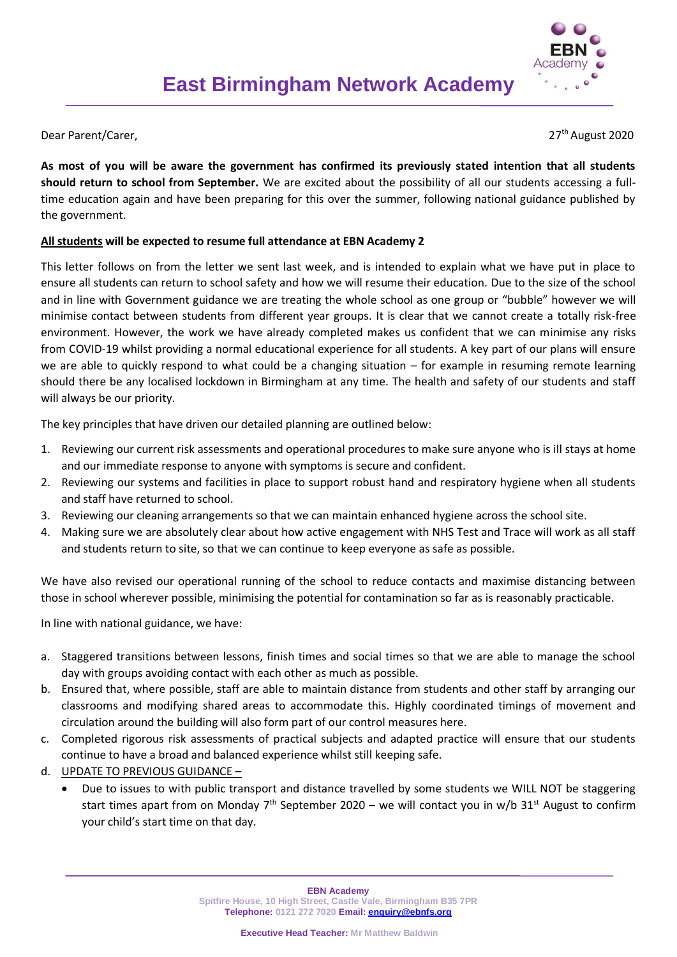## Dear Parent/Carer.

27<sup>th</sup> August 2020

**As most of you will be aware the government has confirmed its previously stated intention that all students should return to school from September.** We are excited about the possibility of all our students accessing a fulltime education again and have been preparing for this over the summer, following national guidance published by the government.

## **All students will be expected to resume full attendance at EBN Academy 2**

This letter follows on from the letter we sent last week, and is intended to explain what we have put in place to ensure all students can return to school safety and how we will resume their education. Due to the size of the school and in line with Government guidance we are treating the whole school as one group or "bubble" however we will minimise contact between students from different year groups. It is clear that we cannot create a totally risk-free environment. However, the work we have already completed makes us confident that we can minimise any risks from COVID-19 whilst providing a normal educational experience for all students. A key part of our plans will ensure we are able to quickly respond to what could be a changing situation – for example in resuming remote learning should there be any localised lockdown in Birmingham at any time. The health and safety of our students and staff will always be our priority.

The key principles that have driven our detailed planning are outlined below:

- 1. Reviewing our current risk assessments and operational procedures to make sure anyone who is ill stays at home and our immediate response to anyone with symptoms is secure and confident.
- 2. Reviewing our systems and facilities in place to support robust hand and respiratory hygiene when all students and staff have returned to school.
- 3. Reviewing our cleaning arrangements so that we can maintain enhanced hygiene across the school site.
- 4. Making sure we are absolutely clear about how active engagement with NHS Test and Trace will work as all staff and students return to site, so that we can continue to keep everyone as safe as possible.

We have also revised our operational running of the school to reduce contacts and maximise distancing between those in school wherever possible, minimising the potential for contamination so far as is reasonably practicable.

In line with national guidance, we have:

- a. Staggered transitions between lessons, finish times and social times so that we are able to manage the school day with groups avoiding contact with each other as much as possible.
- b. Ensured that, where possible, staff are able to maintain distance from students and other staff by arranging our classrooms and modifying shared areas to accommodate this. Highly coordinated timings of movement and circulation around the building will also form part of our control measures here.
- c. Completed rigorous risk assessments of practical subjects and adapted practice will ensure that our students continue to have a broad and balanced experience whilst still keeping safe.
- d. UPDATE TO PREVIOUS GUIDANCE
	- Due to issues to with public transport and distance travelled by some students we WILL NOT be staggering start times apart from on Monday 7<sup>th</sup> September 2020 – we will contact you in w/b 31<sup>st</sup> August to confirm your child's start time on that day.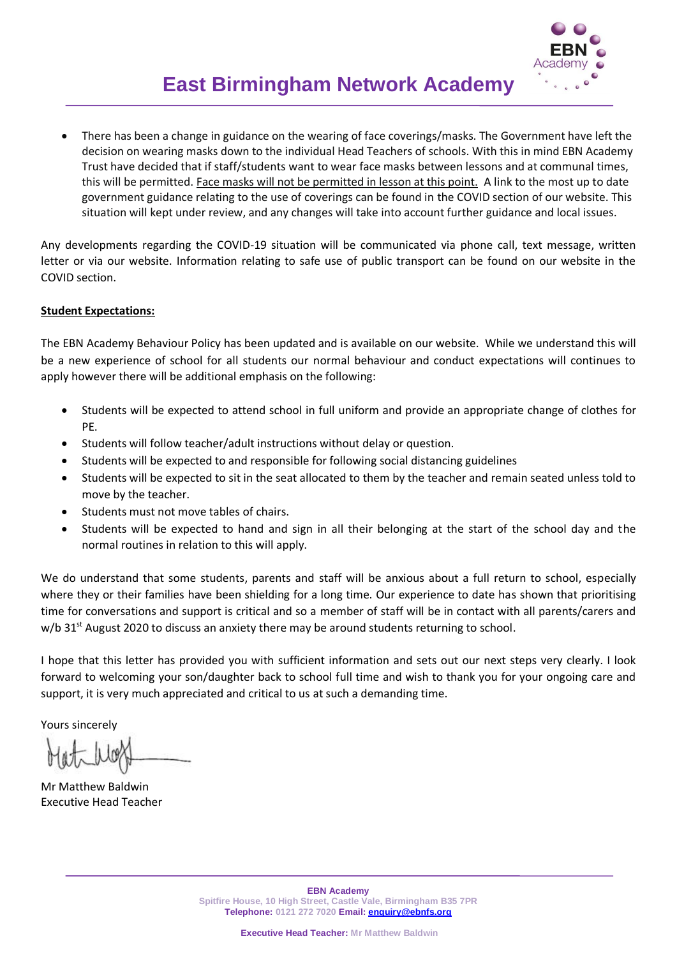

 There has been a change in guidance on the wearing of face coverings/masks. The Government have left the decision on wearing masks down to the individual Head Teachers of schools. With this in mind EBN Academy Trust have decided that if staff/students want to wear face masks between lessons and at communal times, this will be permitted. Face masks will not be permitted in lesson at this point. A link to the most up to date government guidance relating to the use of coverings can be found in the COVID section of our website. This situation will kept under review, and any changes will take into account further guidance and local issues.

Any developments regarding the COVID-19 situation will be communicated via phone call, text message, written letter or via our website. Information relating to safe use of public transport can be found on our website in the COVID section.

## **Student Expectations:**

The EBN Academy Behaviour Policy has been updated and is available on our website. While we understand this will be a new experience of school for all students our normal behaviour and conduct expectations will continues to apply however there will be additional emphasis on the following:

- Students will be expected to attend school in full uniform and provide an appropriate change of clothes for PE.
- Students will follow teacher/adult instructions without delay or question.
- Students will be expected to and responsible for following social distancing guidelines
- Students will be expected to sit in the seat allocated to them by the teacher and remain seated unless told to move by the teacher.
- Students must not move tables of chairs.
- Students will be expected to hand and sign in all their belonging at the start of the school day and the normal routines in relation to this will apply.

We do understand that some students, parents and staff will be anxious about a full return to school, especially where they or their families have been shielding for a long time. Our experience to date has shown that prioritising time for conversations and support is critical and so a member of staff will be in contact with all parents/carers and  $w/b$  31st August 2020 to discuss an anxiety there may be around students returning to school.

I hope that this letter has provided you with sufficient information and sets out our next steps very clearly. I look forward to welcoming your son/daughter back to school full time and wish to thank you for your ongoing care and support, it is very much appreciated and critical to us at such a demanding time.

Yours sincerely

Mr Matthew Baldwin Executive Head Teacher